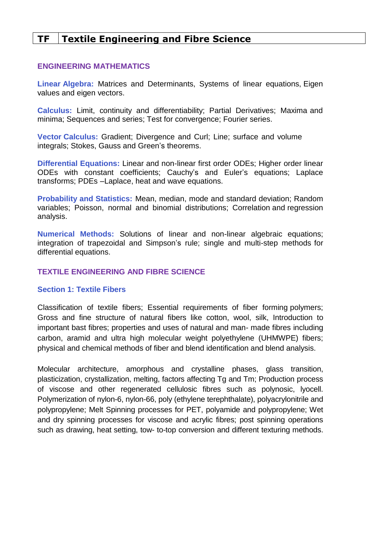# **TF Textile Engineering and Fibre Science**

#### **ENGINEERING MATHEMATICS**

**Linear Algebra:** Matrices and Determinants, Systems of linear equations, Eigen values and eigen vectors.

**Calculus:** Limit, continuity and differentiability; Partial Derivatives; Maxima and minima; Sequences and series; Test for convergence; Fourier series.

**Vector Calculus:** Gradient; Divergence and Curl; Line; surface and volume integrals; Stokes, Gauss and Green's theorems.

**Differential Equations:** Linear and non-linear first order ODEs; Higher order linear ODEs with constant coefficients; Cauchy's and Euler's equations; Laplace transforms; PDEs –Laplace, heat and wave equations.

**Probability and Statistics:** Mean, median, mode and standard deviation; Random variables; Poisson, normal and binomial distributions; Correlation and regression analysis.

**Numerical Methods:** Solutions of linear and non-linear algebraic equations; integration of trapezoidal and Simpson's rule; single and multi-step methods for differential equations.

#### **TEXTILE ENGINEERING AND FIBRE SCIENCE**

#### **Section 1: Textile Fibers**

Classification of textile fibers; Essential requirements of fiber forming polymers; Gross and fine structure of natural fibers like cotton, wool, silk, Introduction to important bast fibres; properties and uses of natural and man- made fibres including carbon, aramid and ultra high molecular weight polyethylene (UHMWPE) fibers; physical and chemical methods of fiber and blend identification and blend analysis.

Molecular architecture, amorphous and crystalline phases, glass transition, plasticization, crystallization, melting, factors affecting Tg and Tm; Production process of viscose and other regenerated cellulosic fibres such as polynosic, lyocell. Polymerization of nylon-6, nylon-66, poly (ethylene terephthalate), polyacrylonitrile and polypropylene; Melt Spinning processes for PET, polyamide and polypropylene; Wet and dry spinning processes for viscose and acrylic fibres; post spinning operations such as drawing, heat setting, tow- to-top conversion and different texturing methods.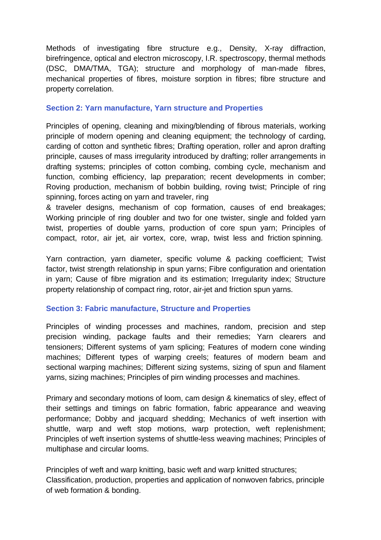Methods of investigating fibre structure e.g., Density, X-ray diffraction, birefringence, optical and electron microscopy, I.R. spectroscopy, thermal methods (DSC, DMA/TMA, TGA); structure and morphology of man-made fibres, mechanical properties of fibres, moisture sorption in fibres; fibre structure and property correlation.

## **Section 2: Yarn manufacture, Yarn structure and Properties**

Principles of opening, cleaning and mixing/blending of fibrous materials, working principle of modern opening and cleaning equipment; the technology of carding, carding of cotton and synthetic fibres; Drafting operation, roller and apron drafting principle, causes of mass irregularity introduced by drafting; roller arrangements in drafting systems; principles of cotton combing, combing cycle, mechanism and function, combing efficiency, lap preparation; recent developments in comber; Roving production, mechanism of bobbin building, roving twist; Principle of ring spinning, forces acting on yarn and traveler, ring

& traveler designs, mechanism of cop formation, causes of end breakages; Working principle of ring doubler and two for one twister, single and folded yarn twist, properties of double yarns, production of core spun yarn; Principles of compact, rotor, air jet, air vortex, core, wrap, twist less and friction spinning.

Yarn contraction, yarn diameter, specific volume & packing coefficient; Twist factor, twist strength relationship in spun yarns; Fibre configuration and orientation in yarn; Cause of fibre migration and its estimation; Irregularity index; Structure property relationship of compact ring, rotor, air-jet and friction spun yarns.

## **Section 3: Fabric manufacture, Structure and Properties**

Principles of winding processes and machines, random, precision and step precision winding, package faults and their remedies; Yarn clearers and tensioners; Different systems of yarn splicing; Features of modern cone winding machines; Different types of warping creels; features of modern beam and sectional warping machines; Different sizing systems, sizing of spun and filament yarns, sizing machines; Principles of pirn winding processes and machines.

Primary and secondary motions of loom, cam design & kinematics of sley, effect of their settings and timings on fabric formation, fabric appearance and weaving performance; Dobby and jacquard shedding; Mechanics of weft insertion with shuttle, warp and weft stop motions, warp protection, weft replenishment; Principles of weft insertion systems of shuttle-less weaving machines; Principles of multiphase and circular looms.

Principles of weft and warp knitting, basic weft and warp knitted structures; Classification, production, properties and application of nonwoven fabrics, principle of web formation & bonding.